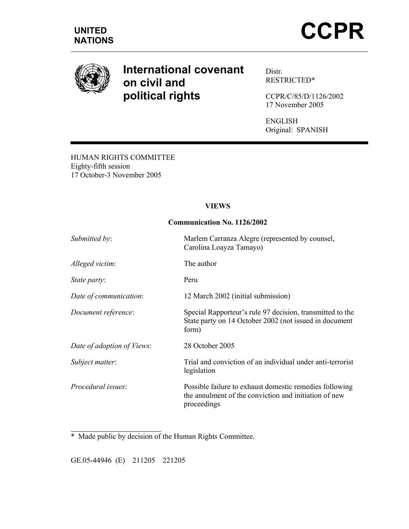

# **International covenant on civil and political rights**

Distr. RESTRICTED\*

CCPR/C/85/D/1126/2002 17 November 2005

ENGLISH Original: SPANISH

HUMAN RIGHTS COMMITTEE Eighty-fifth session 17 October-3 November 2005

## **VIEWS**

#### **Communication No. 1126/2002**

| <i>Submitted by:</i>       | Marlem Carranza Alegre (represented by counsel,<br>Carolina Loayza Tamayo)                                                      |
|----------------------------|---------------------------------------------------------------------------------------------------------------------------------|
| Alleged victim:            | The author                                                                                                                      |
| <i>State party:</i>        | Peru                                                                                                                            |
| Date of communication:     | 12 March 2002 (initial submission)                                                                                              |
| Document reference:        | Special Rapporteur's rule 97 decision, transmitted to the<br>State party on 14 October 2002 (not issued in document<br>form)    |
| Date of adoption of Views: | 28 October 2005                                                                                                                 |
| Subject matter:            | Trial and conviction of an individual under anti-terrorist<br>legislation                                                       |
| Procedural issues:         | Possible failure to exhaust domestic remedies following<br>the annulment of the conviction and initiation of new<br>proceedings |

\* Made public by decision of the Human Rights Committee.

GE.05-44946 (E) 211205 221205

 $\overline{a}$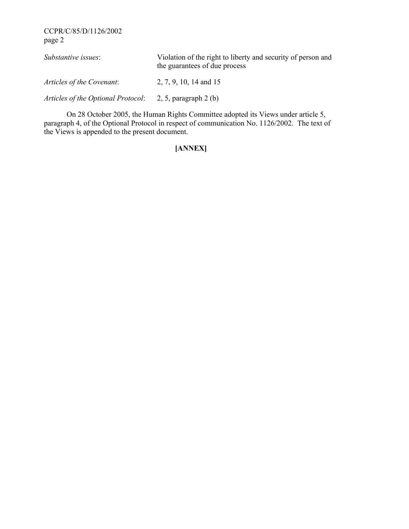CCPR/C/85/D/1126/2002 page 2

| Substantive issues:                | Violation of the right to liberty and security of person and<br>the guarantees of due process |
|------------------------------------|-----------------------------------------------------------------------------------------------|
| Articles of the Covenant:          | 2, 7, 9, 10, 14 and 15                                                                        |
| Articles of the Optional Protocol: | 2, 5, paragraph $2$ (b)                                                                       |

 On 28 October 2005, the Human Rights Committee adopted its Views under article 5, paragraph 4, of the Optional Protocol in respect of communication No. 1126/2002. The text of the Views is appended to the present document.

## **[ANNEX]**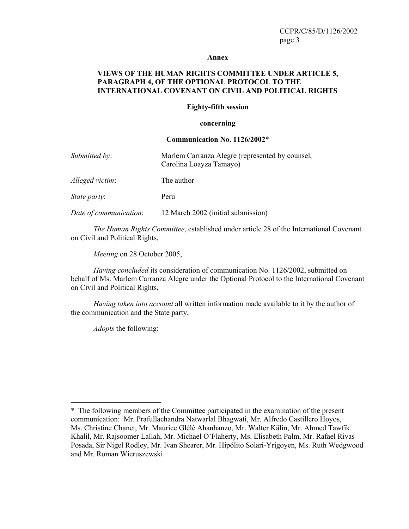#### **Annex**

#### **VIEWS OF THE HUMAN RIGHTS COMMITTEE UNDER ARTICLE 5, PARAGRAPH 4, OF THE OPTIONAL PROTOCOL TO THE INTERNATIONAL COVENANT ON CIVIL AND POLITICAL RIGHTS**

#### **Eighty-fifth session**

#### **concerning**

#### **Communication No. 1126/2002**\*

| Submitted by:       | Marlem Carranza Alegre (represented by counsel,<br>Carolina Loayza Tamayo) |
|---------------------|----------------------------------------------------------------------------|
| Alleged victim:     | The author                                                                 |
| <i>State party:</i> | Peru                                                                       |

*Date of communication*: 12 March 2002 (initial submission)

*The Human Rights Committee*, established under article 28 of the International Covenant on Civil and Political Rights,

*Meeting* on 28 October 2005,

*Having concluded* its consideration of communication No. 1126/2002, submitted on behalf of Ms. Marlem Carranza Alegre under the Optional Protocol to the International Covenant on Civil and Political Rights,

*Having taken into account* all written information made available to it by the author of the communication and the State party,

*Adopts* the following:

 $\overline{a}$ 

<sup>\*</sup>The following members of the Committee participated in the examination of the present communication: Mr. Prafullachandra Natwarlal Bhagwati, Mr. Alfredo Castillero Hoyos, Ms. Christine Chanet, Mr. Maurice Glèlè Ahanhanzo, Mr. Walter Kälin, Mr. Ahmed Tawfik Khalil, Mr. Rajsoomer Lallah, Mr. Michael O'Flaherty, Ms. Elisabeth Palm, Mr. Rafael Rivas Posada, Sir Nigel Rodley, Mr. Ivan Shearer, Mr. Hipólito Solari-Yrigoyen, Ms. Ruth Wedgwood and Mr. Roman Wieruszewski.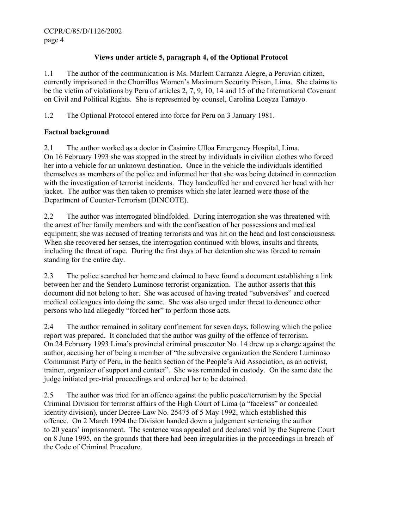## **Views under article 5, paragraph 4, of the Optional Protocol**

1.1 The author of the communication is Ms. Marlem Carranza Alegre, a Peruvian citizen, currently imprisoned in the Chorrillos Women's Maximum Security Prison, Lima. She claims to be the victim of violations by Peru of articles 2, 7, 9, 10, 14 and 15 of the International Covenant on Civil and Political Rights. She is represented by counsel, Carolina Loayza Tamayo.

1.2 The Optional Protocol entered into force for Peru on 3 January 1981.

## **Factual background**

2.1 The author worked as a doctor in Casimiro Ulloa Emergency Hospital, Lima. On 16 February 1993 she was stopped in the street by individuals in civilian clothes who forced her into a vehicle for an unknown destination. Once in the vehicle the individuals identified themselves as members of the police and informed her that she was being detained in connection with the investigation of terrorist incidents. They handcuffed her and covered her head with her jacket. The author was then taken to premises which she later learned were those of the Department of Counter-Terrorism (DINCOTE).

2.2 The author was interrogated blindfolded. During interrogation she was threatened with the arrest of her family members and with the confiscation of her possessions and medical equipment; she was accused of treating terrorists and was hit on the head and lost consciousness. When she recovered her senses, the interrogation continued with blows, insults and threats, including the threat of rape. During the first days of her detention she was forced to remain standing for the entire day.

2.3 The police searched her home and claimed to have found a document establishing a link between her and the Sendero Luminoso terrorist organization. The author asserts that this document did not belong to her. She was accused of having treated "subversives" and coerced medical colleagues into doing the same. She was also urged under threat to denounce other persons who had allegedly "forced her" to perform those acts.

2.4 The author remained in solitary confinement for seven days, following which the police report was prepared. It concluded that the author was guilty of the offence of terrorism. On 24 February 1993 Lima's provincial criminal prosecutor No. 14 drew up a charge against the author, accusing her of being a member of "the subversive organization the Sendero Luminoso Communist Party of Peru, in the health section of the People's Aid Association, as an activist, trainer, organizer of support and contact". She was remanded in custody. On the same date the judge initiated pre-trial proceedings and ordered her to be detained.

2.5 The author was tried for an offence against the public peace/terrorism by the Special Criminal Division for terrorist affairs of the High Court of Lima (a "faceless" or concealed identity division), under Decree-Law No. 25475 of 5 May 1992, which established this offence. On 2 March 1994 the Division handed down a judgement sentencing the author to 20 years' imprisonment. The sentence was appealed and declared void by the Supreme Court on 8 June 1995, on the grounds that there had been irregularities in the proceedings in breach of the Code of Criminal Procedure.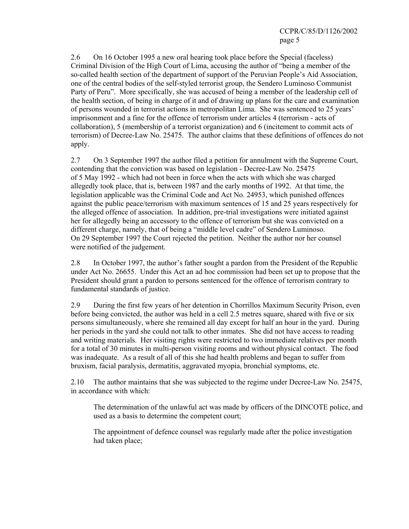2.6 On 16 October 1995 a new oral hearing took place before the Special (faceless) Criminal Division of the High Court of Lima, accusing the author of "being a member of the so-called health section of the department of support of the Peruvian People's Aid Association, one of the central bodies of the self-styled terrorist group, the Sendero Luminoso Communist Party of Peru". More specifically, she was accused of being a member of the leadership cell of the health section, of being in charge of it and of drawing up plans for the care and examination of persons wounded in terrorist actions in metropolitan Lima. She was sentenced to 25 years' imprisonment and a fine for the offence of terrorism under articles 4 (terrorism - acts of collaboration), 5 (membership of a terrorist organization) and 6 (incitement to commit acts of terrorism) of Decree-Law No. 25475. The author claims that these definitions of offences do not apply.

2.7 On 3 September 1997 the author filed a petition for annulment with the Supreme Court, contending that the conviction was based on legislation - Decree-Law No. 25475 of 5 May 1992 - which had not been in force when the acts with which she was charged allegedly took place, that is, between 1987 and the early months of 1992. At that time, the legislation applicable was the Criminal Code and Act No. 24953, which punished offences against the public peace/terrorism with maximum sentences of 15 and 25 years respectively for the alleged offence of association. In addition, pre-trial investigations were initiated against her for allegedly being an accessory to the offence of terrorism but she was convicted on a different charge, namely, that of being a "middle level cadre" of Sendero Luminoso. On 29 September 1997 the Court rejected the petition. Neither the author nor her counsel were notified of the judgement.

2.8 In October 1997, the author's father sought a pardon from the President of the Republic under Act No. 26655. Under this Act an ad hoc commission had been set up to propose that the President should grant a pardon to persons sentenced for the offence of terrorism contrary to fundamental standards of justice.

2.9 During the first few years of her detention in Chorrillos Maximum Security Prison, even before being convicted, the author was held in a cell 2.5 metres square, shared with five or six persons simultaneously, where she remained all day except for half an hour in the yard. During her periods in the yard she could not talk to other inmates. She did not have access to reading and writing materials. Her visiting rights were restricted to two immediate relatives per month for a total of 30 minutes in multi-person visiting rooms and without physical contact. The food was inadequate. As a result of all of this she had health problems and began to suffer from bruxism, facial paralysis, dermatitis, aggravated myopia, bronchial symptoms, etc.

2.10 The author maintains that she was subjected to the regime under Decree-Law No. 25475, in accordance with which:

The determination of the unlawful act was made by officers of the DINCOTE police, and used as a basis to determine the competent court;

The appointment of defence counsel was regularly made after the police investigation had taken place;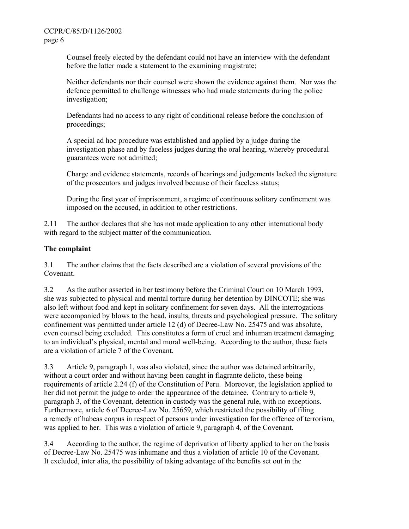Counsel freely elected by the defendant could not have an interview with the defendant before the latter made a statement to the examining magistrate;

Neither defendants nor their counsel were shown the evidence against them. Nor was the defence permitted to challenge witnesses who had made statements during the police investigation;

Defendants had no access to any right of conditional release before the conclusion of proceedings;

A special ad hoc procedure was established and applied by a judge during the investigation phase and by faceless judges during the oral hearing, whereby procedural guarantees were not admitted;

Charge and evidence statements, records of hearings and judgements lacked the signature of the prosecutors and judges involved because of their faceless status;

During the first year of imprisonment, a regime of continuous solitary confinement was imposed on the accused, in addition to other restrictions.

2.11 The author declares that she has not made application to any other international body with regard to the subject matter of the communication.

#### **The complaint**

3.1 The author claims that the facts described are a violation of several provisions of the Covenant.

3.2 As the author asserted in her testimony before the Criminal Court on 10 March 1993, she was subjected to physical and mental torture during her detention by DINCOTE; she was also left without food and kept in solitary confinement for seven days. All the interrogations were accompanied by blows to the head, insults, threats and psychological pressure. The solitary confinement was permitted under article 12 (d) of Decree-Law No. 25475 and was absolute, even counsel being excluded. This constitutes a form of cruel and inhuman treatment damaging to an individual's physical, mental and moral well-being. According to the author, these facts are a violation of article 7 of the Covenant.

3.3 Article 9, paragraph 1, was also violated, since the author was detained arbitrarily, without a court order and without having been caught in flagrante delicto, these being requirements of article 2.24 (f) of the Constitution of Peru. Moreover, the legislation applied to her did not permit the judge to order the appearance of the detainee. Contrary to article 9, paragraph 3, of the Covenant, detention in custody was the general rule, with no exceptions. Furthermore, article 6 of Decree-Law No. 25659, which restricted the possibility of filing a remedy of habeas corpus in respect of persons under investigation for the offence of terrorism, was applied to her. This was a violation of article 9, paragraph 4, of the Covenant.

3.4 According to the author, the regime of deprivation of liberty applied to her on the basis of Decree-Law No. 25475 was inhumane and thus a violation of article 10 of the Covenant. It excluded, inter alia, the possibility of taking advantage of the benefits set out in the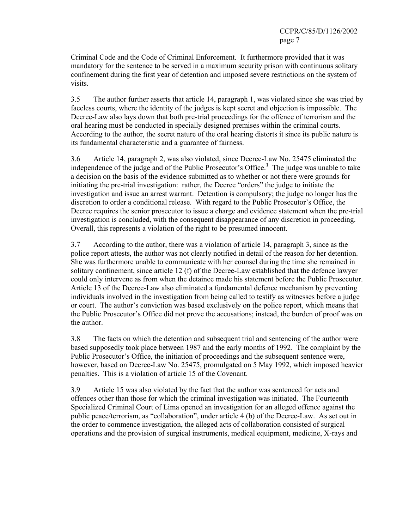Criminal Code and the Code of Criminal Enforcement. It furthermore provided that it was mandatory for the sentence to be served in a maximum security prison with continuous solitary confinement during the first year of detention and imposed severe restrictions on the system of visits.

3.5 The author further asserts that article 14, paragraph 1, was violated since she was tried by faceless courts, where the identity of the judges is kept secret and objection is impossible. The Decree-Law also lays down that both pre-trial proceedings for the offence of terrorism and the oral hearing must be conducted in specially designed premises within the criminal courts. According to the author, the secret nature of the oral hearing distorts it since its public nature is its fundamental characteristic and a guarantee of fairness.

3.6 Article 14, paragraph 2, was also violated, since Decree-Law No. 25475 eliminated the independence of the judge and of the Public Prosecutor's Office.**<sup>1</sup>** The judge was unable to take a decision on the basis of the evidence submitted as to whether or not there were grounds for initiating the pre-trial investigation: rather, the Decree "orders" the judge to initiate the investigation and issue an arrest warrant. Detention is compulsory; the judge no longer has the discretion to order a conditional release. With regard to the Public Prosecutor's Office, the Decree requires the senior prosecutor to issue a charge and evidence statement when the pre-trial investigation is concluded, with the consequent disappearance of any discretion in proceeding. Overall, this represents a violation of the right to be presumed innocent.

3.7 According to the author, there was a violation of article 14, paragraph 3, since as the police report attests, the author was not clearly notified in detail of the reason for her detention. She was furthermore unable to communicate with her counsel during the time she remained in solitary confinement, since article 12 (f) of the Decree-Law established that the defence lawyer could only intervene as from when the detainee made his statement before the Public Prosecutor. Article 13 of the Decree-Law also eliminated a fundamental defence mechanism by preventing individuals involved in the investigation from being called to testify as witnesses before a judge or court. The author's conviction was based exclusively on the police report, which means that the Public Prosecutor's Office did not prove the accusations; instead, the burden of proof was on the author.

3.8 The facts on which the detention and subsequent trial and sentencing of the author were based supposedly took place between 1987 and the early months of 1992. The complaint by the Public Prosecutor's Office, the initiation of proceedings and the subsequent sentence were, however, based on Decree-Law No. 25475, promulgated on 5 May 1992, which imposed heavier penalties. This is a violation of article 15 of the Covenant.

3.9 Article 15 was also violated by the fact that the author was sentenced for acts and offences other than those for which the criminal investigation was initiated. The Fourteenth Specialized Criminal Court of Lima opened an investigation for an alleged offence against the public peace/terrorism, as "collaboration", under article 4 (b) of the Decree-Law. As set out in the order to commence investigation, the alleged acts of collaboration consisted of surgical operations and the provision of surgical instruments, medical equipment, medicine, X-rays and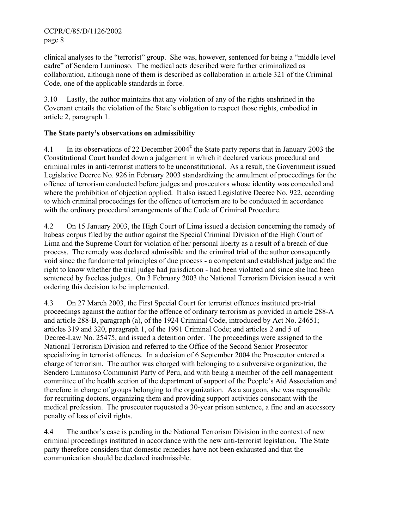clinical analyses to the "terrorist" group. She was, however, sentenced for being a "middle level cadre" of Sendero Luminoso. The medical acts described were further criminalized as collaboration, although none of them is described as collaboration in article 321 of the Criminal Code, one of the applicable standards in force.

3.10 Lastly, the author maintains that any violation of any of the rights enshrined in the Covenant entails the violation of the State's obligation to respect those rights, embodied in article 2, paragraph 1.

## **The State party's observations on admissibility**

4.1 In its observations of 22 December 2004<sup>2</sup> the State party reports that in January 2003 the Constitutional Court handed down a judgement in which it declared various procedural and criminal rules in anti-terrorist matters to be unconstitutional. As a result, the Government issued Legislative Decree No. 926 in February 2003 standardizing the annulment of proceedings for the offence of terrorism conducted before judges and prosecutors whose identity was concealed and where the prohibition of objection applied. It also issued Legislative Decree No. 922, according to which criminal proceedings for the offence of terrorism are to be conducted in accordance with the ordinary procedural arrangements of the Code of Criminal Procedure.

4.2 On 15 January 2003, the High Court of Lima issued a decision concerning the remedy of habeas corpus filed by the author against the Special Criminal Division of the High Court of Lima and the Supreme Court for violation of her personal liberty as a result of a breach of due process. The remedy was declared admissible and the criminal trial of the author consequently void since the fundamental principles of due process - a competent and established judge and the right to know whether the trial judge had jurisdiction - had been violated and since she had been sentenced by faceless judges. On 3 February 2003 the National Terrorism Division issued a writ ordering this decision to be implemented.

4.3 On 27 March 2003, the First Special Court for terrorist offences instituted pre-trial proceedings against the author for the offence of ordinary terrorism as provided in article 288-A and article 288-B, paragraph (a), of the 1924 Criminal Code, introduced by Act No. 24651; articles 319 and 320, paragraph 1, of the 1991 Criminal Code; and articles 2 and 5 of Decree-Law No. 25475, and issued a detention order. The proceedings were assigned to the National Terrorism Division and referred to the Office of the Second Senior Prosecutor specializing in terrorist offences. In a decision of 6 September 2004 the Prosecutor entered a charge of terrorism. The author was charged with belonging to a subversive organization, the Sendero Luminoso Communist Party of Peru, and with being a member of the cell management committee of the health section of the department of support of the People's Aid Association and therefore in charge of groups belonging to the organization. As a surgeon, she was responsible for recruiting doctors, organizing them and providing support activities consonant with the medical profession. The prosecutor requested a 30-year prison sentence, a fine and an accessory penalty of loss of civil rights.

4.4 The author's case is pending in the National Terrorism Division in the context of new criminal proceedings instituted in accordance with the new anti-terrorist legislation. The State party therefore considers that domestic remedies have not been exhausted and that the communication should be declared inadmissible.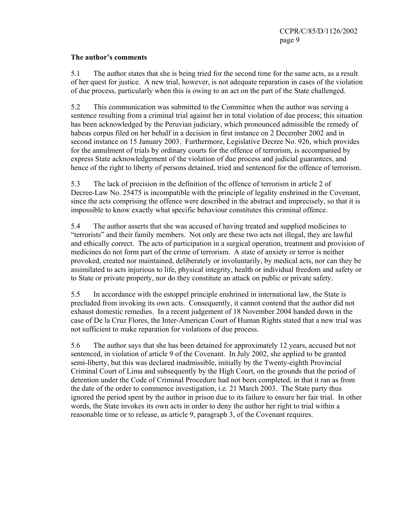#### **The author's comments**

5.1 The author states that she is being tried for the second time for the same acts, as a result of her quest for justice. A new trial, however, is not adequate reparation in cases of the violation of due process, particularly when this is owing to an act on the part of the State challenged.

5.2 This communication was submitted to the Committee when the author was serving a sentence resulting from a criminal trial against her in total violation of due process; this situation has been acknowledged by the Peruvian judiciary, which pronounced admissible the remedy of habeas corpus filed on her behalf in a decision in first instance on 2 December 2002 and in second instance on 15 January 2003. Furthermore, Legislative Decree No. 926, which provides for the annulment of trials by ordinary courts for the offence of terrorism, is accompanied by express State acknowledgement of the violation of due process and judicial guarantees, and hence of the right to liberty of persons detained, tried and sentenced for the offence of terrorism.

5.3 The lack of precision in the definition of the offence of terrorism in article 2 of Decree-Law No. 25475 is incompatible with the principle of legality enshrined in the Covenant, since the acts comprising the offence were described in the abstract and imprecisely, so that it is impossible to know exactly what specific behaviour constitutes this criminal offence.

5.4 The author asserts that she was accused of having treated and supplied medicines to "terrorists" and their family members. Not only are these two acts not illegal, they are lawful and ethically correct. The acts of participation in a surgical operation, treatment and provision of medicines do not form part of the crime of terrorism. A state of anxiety or terror is neither provoked, created nor maintained, deliberately or involuntarily, by medical acts, nor can they be assimilated to acts injurious to life, physical integrity, health or individual freedom and safety or to State or private property, nor do they constitute an attack on public or private safety.

5.5 In accordance with the estoppel principle enshrined in international law, the State is precluded from invoking its own acts. Consequently, it cannot contend that the author did not exhaust domestic remedies. In a recent judgement of 18 November 2004 handed down in the case of De la Cruz Flores, the Inter-American Court of Human Rights stated that a new trial was not sufficient to make reparation for violations of due process.

5.6 The author says that she has been detained for approximately 12 years, accused but not sentenced, in violation of article 9 of the Covenant. In July 2002, she applied to be granted semi-liberty, but this was declared inadmissible, initially by the Twenty-eighth Provincial Criminal Court of Lima and subsequently by the High Court, on the grounds that the period of detention under the Code of Criminal Procedure had not been completed, in that it ran as from the date of the order to commence investigation, i.e. 21 March 2003. The State party thus ignored the period spent by the author in prison due to its failure to ensure her fair trial. In other words, the State invokes its own acts in order to deny the author her right to trial within a reasonable time or to release, as article 9, paragraph 3, of the Covenant requires.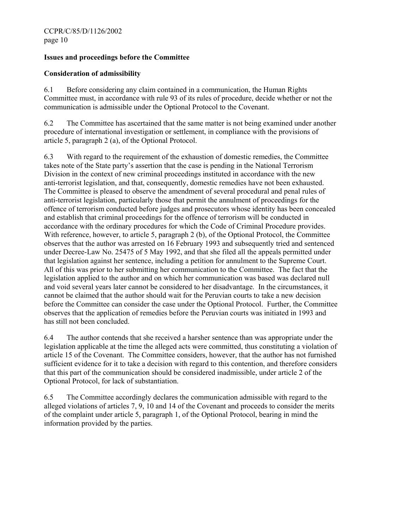### **Issues and proceedings before the Committee**

### **Consideration of admissibility**

6.1 Before considering any claim contained in a communication, the Human Rights Committee must, in accordance with rule 93 of its rules of procedure, decide whether or not the communication is admissible under the Optional Protocol to the Covenant.

6.2 The Committee has ascertained that the same matter is not being examined under another procedure of international investigation or settlement, in compliance with the provisions of article 5, paragraph 2 (a), of the Optional Protocol.

6.3 With regard to the requirement of the exhaustion of domestic remedies, the Committee takes note of the State party's assertion that the case is pending in the National Terrorism Division in the context of new criminal proceedings instituted in accordance with the new anti-terrorist legislation, and that, consequently, domestic remedies have not been exhausted. The Committee is pleased to observe the amendment of several procedural and penal rules of anti-terrorist legislation, particularly those that permit the annulment of proceedings for the offence of terrorism conducted before judges and prosecutors whose identity has been concealed and establish that criminal proceedings for the offence of terrorism will be conducted in accordance with the ordinary procedures for which the Code of Criminal Procedure provides. With reference, however, to article 5, paragraph 2 (b), of the Optional Protocol, the Committee observes that the author was arrested on 16 February 1993 and subsequently tried and sentenced under Decree-Law No. 25475 of 5 May 1992, and that she filed all the appeals permitted under that legislation against her sentence, including a petition for annulment to the Supreme Court. All of this was prior to her submitting her communication to the Committee. The fact that the legislation applied to the author and on which her communication was based was declared null and void several years later cannot be considered to her disadvantage. In the circumstances, it cannot be claimed that the author should wait for the Peruvian courts to take a new decision before the Committee can consider the case under the Optional Protocol. Further, the Committee observes that the application of remedies before the Peruvian courts was initiated in 1993 and has still not been concluded.

6.4 The author contends that she received a harsher sentence than was appropriate under the legislation applicable at the time the alleged acts were committed, thus constituting a violation of article 15 of the Covenant. The Committee considers, however, that the author has not furnished sufficient evidence for it to take a decision with regard to this contention, and therefore considers that this part of the communication should be considered inadmissible, under article 2 of the Optional Protocol, for lack of substantiation.

6.5 The Committee accordingly declares the communication admissible with regard to the alleged violations of articles 7, 9, 10 and 14 of the Covenant and proceeds to consider the merits of the complaint under article 5, paragraph 1, of the Optional Protocol, bearing in mind the information provided by the parties.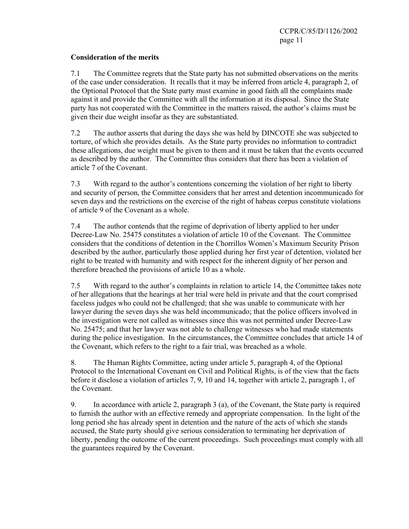#### **Consideration of the merits**

7.1 The Committee regrets that the State party has not submitted observations on the merits of the case under consideration. It recalls that it may be inferred from article 4, paragraph 2, of the Optional Protocol that the State party must examine in good faith all the complaints made against it and provide the Committee with all the information at its disposal. Since the State party has not cooperated with the Committee in the matters raised, the author's claims must be given their due weight insofar as they are substantiated.

7.2 The author asserts that during the days she was held by DINCOTE she was subjected to torture, of which she provides details. As the State party provides no information to contradict these allegations, due weight must be given to them and it must be taken that the events occurred as described by the author. The Committee thus considers that there has been a violation of article 7 of the Covenant.

7.3 With regard to the author's contentions concerning the violation of her right to liberty and security of person, the Committee considers that her arrest and detention incommunicado for seven days and the restrictions on the exercise of the right of habeas corpus constitute violations of article 9 of the Covenant as a whole.

7.4 The author contends that the regime of deprivation of liberty applied to her under Decree-Law No. 25475 constitutes a violation of article 10 of the Covenant. The Committee considers that the conditions of detention in the Chorrillos Women's Maximum Security Prison described by the author, particularly those applied during her first year of detention, violated her right to be treated with humanity and with respect for the inherent dignity of her person and therefore breached the provisions of article 10 as a whole.

7.5 With regard to the author's complaints in relation to article 14, the Committee takes note of her allegations that the hearings at her trial were held in private and that the court comprised faceless judges who could not be challenged; that she was unable to communicate with her lawyer during the seven days she was held incommunicado; that the police officers involved in the investigation were not called as witnesses since this was not permitted under Decree-Law No. 25475; and that her lawyer was not able to challenge witnesses who had made statements during the police investigation. In the circumstances, the Committee concludes that article 14 of the Covenant, which refers to the right to a fair trial, was breached as a whole.

8. The Human Rights Committee, acting under article 5, paragraph 4, of the Optional Protocol to the International Covenant on Civil and Political Rights, is of the view that the facts before it disclose a violation of articles 7, 9, 10 and 14, together with article 2, paragraph 1, of the Covenant.

9. In accordance with article 2, paragraph 3 (a), of the Covenant, the State party is required to furnish the author with an effective remedy and appropriate compensation. In the light of the long period she has already spent in detention and the nature of the acts of which she stands accused, the State party should give serious consideration to terminating her deprivation of liberty, pending the outcome of the current proceedings. Such proceedings must comply with all the guarantees required by the Covenant.